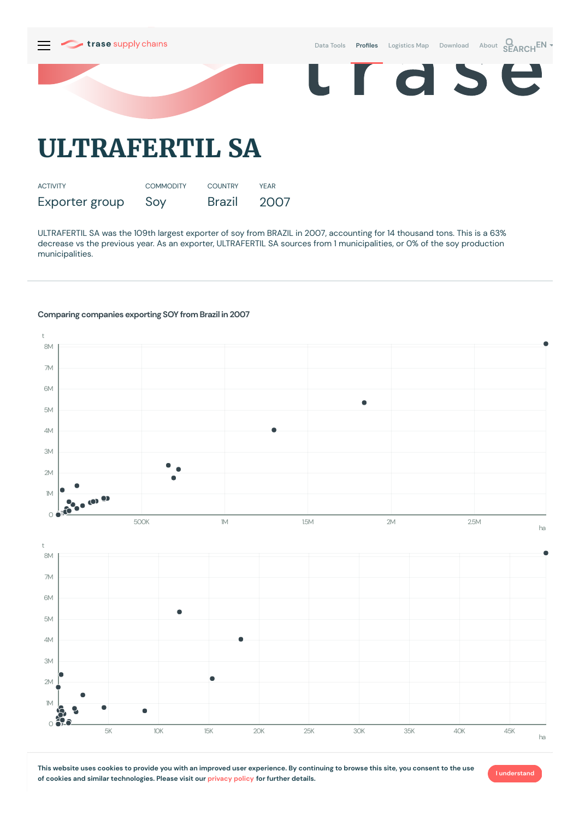

Exporter group Soy Brazil 2007

ULTRAFERTIL SA was the 109th largest exporter of soy from BRAZIL in 2007, accounting for 14 thousand tons. This is a 63% decrease vs the previous year. As an exporter, ULTRAFERTIL SA sources from 1municipalities, or 0% of the soy production municipalities.

## **Comparing companies exporting SOY from Brazil in 2007**



This website uses cookies to provide you with an improved user experience. By continuing to browse this site, you consent to the use **of cookies and similar technologies. Please visit our [privacy](https://www.trase.earth/privacy-policy) policy for further details.**

**I understand**